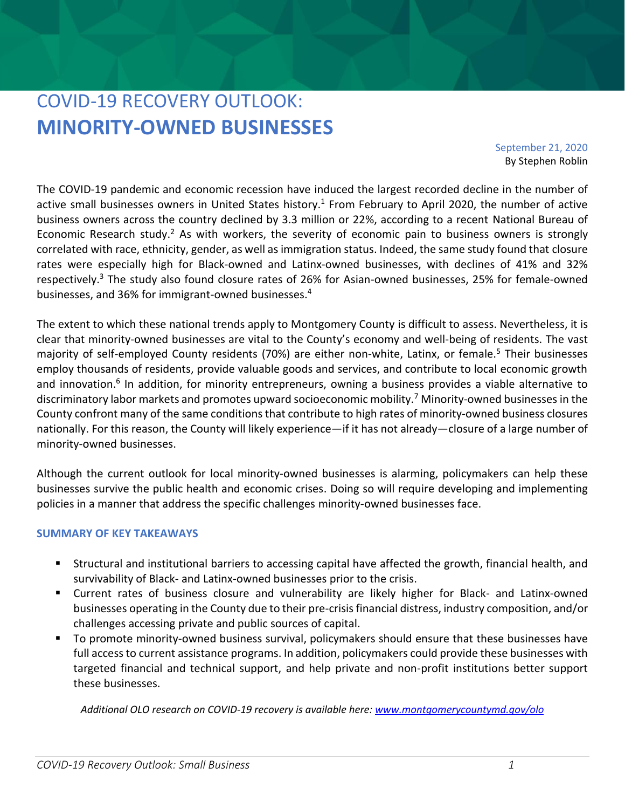# COVID-19 RECOVERY OUTLOOK: **MINORITY-OWNED BUSINESSES**

September 21, 2020 By Stephen Roblin

The COVID-19 pandemic and economic recession have induced the largest recorded decline in the number of active small businesses owners in United States history.<sup>1</sup> From February to April 2020, the number of active business owners across the country declined by 3.3 million or 22%, according to a recent National Bureau of Economic Research study.<sup>2</sup> As with workers, the severity of economic pain to business owners is strongly correlated with race, ethnicity, gender, as well as immigration status. Indeed, the same study found that closure rates were especially high for Black-owned and Latinx-owned businesses, with declines of 41% and 32% respectively.<sup>3</sup> The study also found closure rates of 26% for Asian-owned businesses, 25% for female-owned businesses, and 36% for immigrant-owned businesses.<sup>4</sup>

The extent to which these national trends apply to Montgomery County is difficult to assess. Nevertheless, it is clear that minority-owned businesses are vital to the County's economy and well-being of residents. The vast majority of self-employed County residents (70%) are either non-white, Latinx, or female.<sup>5</sup> Their businesses employ thousands of residents, provide valuable goods and services, and contribute to local economic growth and innovation.<sup>6</sup> In addition, for minority entrepreneurs, owning a business provides a viable alternative to discriminatory labor markets and promotes upward socioeconomic mobility.<sup>7</sup> Minority-owned businesses in the County confront many of the same conditions that contribute to high rates of minority-owned business closures nationally. For this reason, the County will likely experience—if it has not already—closure of a large number of minority-owned businesses.

Although the current outlook for local minority-owned businesses is alarming, policymakers can help these businesses survive the public health and economic crises. Doing so will require developing and implementing policies in a manner that address the specific challenges minority-owned businesses face.

## **SUMMARY OF KEY TAKEAWAYS**

- Structural and institutional barriers to accessing capital have affected the growth, financial health, and survivability of Black- and Latinx-owned businesses prior to the crisis.
- Current rates of business closure and vulnerability are likely higher for Black- and Latinx-owned businesses operating in the County due to their pre-crisis financial distress, industry composition, and/or challenges accessing private and public sources of capital.
- To promote minority-owned business survival, policymakers should ensure that these businesses have full access to current assistance programs. In addition, policymakers could provide these businesses with targeted financial and technical support, and help private and non-profit institutions better support these businesses.

*Additional OLO research on COVID-19 recovery is available here: [www.montgomerycountymd.gov/olo](http://www.montgomerycountymd.gov/olo)*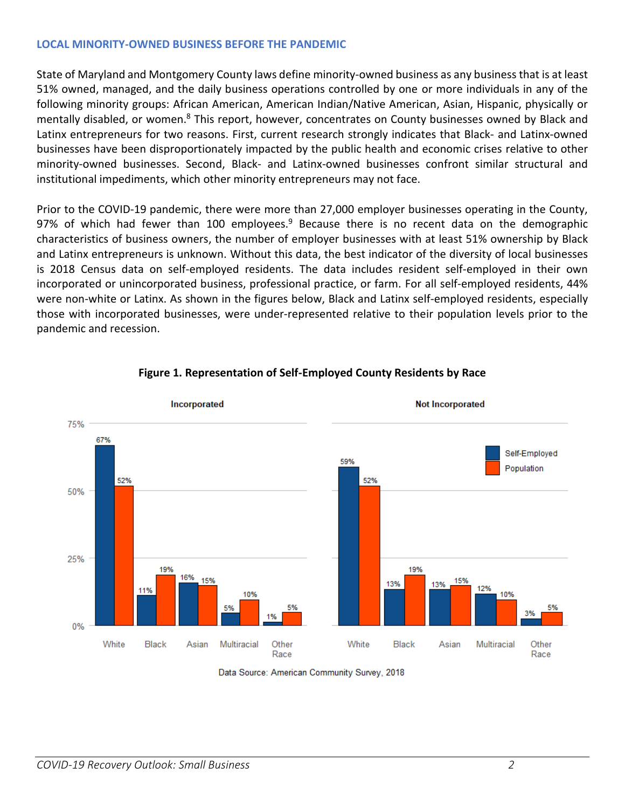### **LOCAL MINORITY-OWNED BUSINESS BEFORE THE PANDEMIC**

State of Maryland and Montgomery County laws define minority-owned business as any business that is at least 51% owned, managed, and the daily business operations controlled by one or more individuals in any of the following minority groups: African American, American Indian/Native American, Asian, Hispanic, physically or mentally disabled, or women.<sup>8</sup> This report, however, concentrates on County businesses owned by Black and Latinx entrepreneurs for two reasons. First, current research strongly indicates that Black- and Latinx-owned businesses have been disproportionately impacted by the public health and economic crises relative to other minority-owned businesses. Second, Black- and Latinx-owned businesses confront similar structural and institutional impediments, which other minority entrepreneurs may not face.

Prior to the COVID-19 pandemic, there were more than 27,000 employer businesses operating in the County, 97% of which had fewer than 100 employees.<sup>9</sup> Because there is no recent data on the demographic characteristics of business owners, the number of employer businesses with at least 51% ownership by Black and Latinx entrepreneurs is unknown. Without this data, the best indicator of the diversity of local businesses is 2018 Census data on self-employed residents. The data includes resident self-employed in their own incorporated or unincorporated business, professional practice, or farm. For all self-employed residents, 44% were non-white or Latinx. As shown in the figures below, Black and Latinx self-employed residents, especially those with incorporated businesses, were under-represented relative to their population levels prior to the pandemic and recession.



#### **Figure 1. Representation of Self-Employed County Residents by Race**

Data Source: American Community Survey, 2018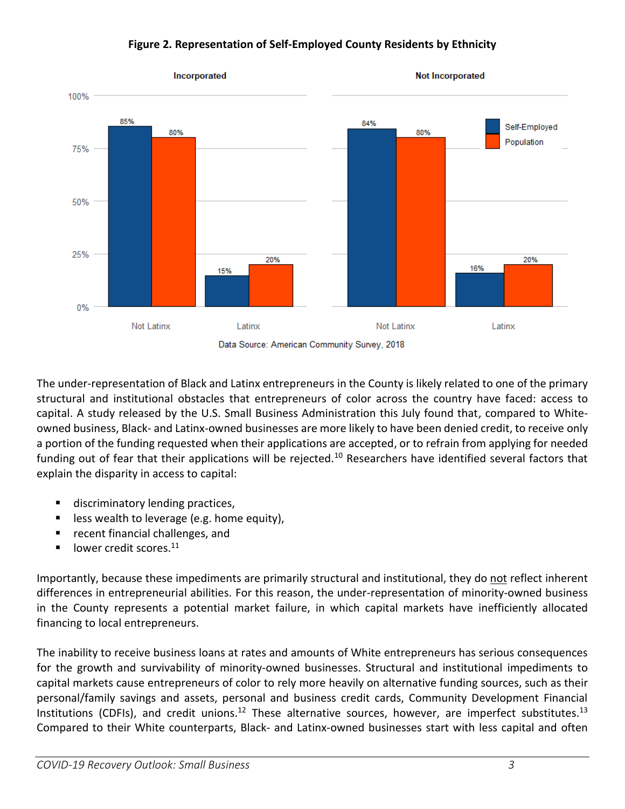



The under-representation of Black and Latinx entrepreneurs in the County is likely related to one of the primary structural and institutional obstacles that entrepreneurs of color across the country have faced: access to capital. A study released by the U.S. Small Business Administration this July found that, compared to Whiteowned business, Black- and Latinx-owned businesses are more likely to have been denied credit, to receive only a portion of the funding requested when their applications are accepted, or to refrain from applying for needed funding out of fear that their applications will be rejected.<sup>10</sup> Researchers have identified several factors that explain the disparity in access to capital:

- discriminatory lending practices,
- less wealth to leverage (e.g. home equity),
- recent financial challenges, and
- $\blacksquare$  lower credit scores.<sup>11</sup>

Importantly, because these impediments are primarily structural and institutional, they do not reflect inherent differences in entrepreneurial abilities. For this reason, the under-representation of minority-owned business in the County represents a potential market failure, in which capital markets have inefficiently allocated financing to local entrepreneurs.

The inability to receive business loans at rates and amounts of White entrepreneurs has serious consequences for the growth and survivability of minority-owned businesses. Structural and institutional impediments to capital markets cause entrepreneurs of color to rely more heavily on alternative funding sources, such as their personal/family savings and assets, personal and business credit cards, Community Development Financial Institutions (CDFIs), and credit unions.<sup>12</sup> These alternative sources, however, are imperfect substitutes.<sup>13</sup> Compared to their White counterparts, Black- and Latinx-owned businesses start with less capital and often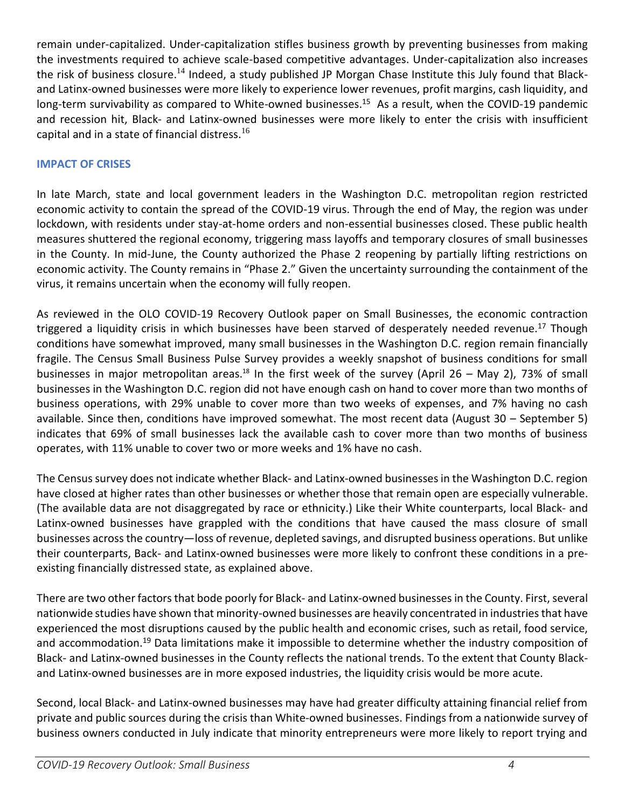remain under-capitalized. Under-capitalization stifles business growth by preventing businesses from making the investments required to achieve scale-based competitive advantages. Under-capitalization also increases the risk of business closure.<sup>14</sup> Indeed, a study published JP Morgan Chase Institute this July found that Blackand Latinx-owned businesses were more likely to experience lower revenues, profit margins, cash liquidity, and long-term survivability as compared to White-owned businesses.<sup>15</sup> As a result, when the COVID-19 pandemic and recession hit, Black- and Latinx-owned businesses were more likely to enter the crisis with insufficient capital and in a state of financial distress.<sup>16</sup>

## **IMPACT OF CRISES**

In late March, state and local government leaders in the Washington D.C. metropolitan region restricted economic activity to contain the spread of the COVID-19 virus. Through the end of May, the region was under lockdown, with residents under stay-at-home orders and non-essential businesses closed. These public health measures shuttered the regional economy, triggering mass layoffs and temporary closures of small businesses in the County. In mid-June, the County authorized the Phase 2 reopening by partially lifting restrictions on economic activity. The County remains in "Phase 2." Given the uncertainty surrounding the containment of the virus, it remains uncertain when the economy will fully reopen.

As reviewed in the OLO COVID-19 Recovery Outlook paper on Small Businesses, the economic contraction triggered a liquidity crisis in which businesses have been starved of desperately needed revenue.<sup>17</sup> Though conditions have somewhat improved, many small businesses in the Washington D.C. region remain financially fragile. The Census Small Business Pulse Survey provides a weekly snapshot of business conditions for small businesses in major metropolitan areas.<sup>18</sup> In the first week of the survey (April 26 – May 2), 73% of small businesses in the Washington D.C. region did not have enough cash on hand to cover more than two months of business operations, with 29% unable to cover more than two weeks of expenses, and 7% having no cash available. Since then, conditions have improved somewhat. The most recent data (August 30 – September 5) indicates that 69% of small businesses lack the available cash to cover more than two months of business operates, with 11% unable to cover two or more weeks and 1% have no cash.

The Census survey does not indicate whether Black- and Latinx-owned businesses in the Washington D.C. region have closed at higher rates than other businesses or whether those that remain open are especially vulnerable. (The available data are not disaggregated by race or ethnicity.) Like their White counterparts, local Black- and Latinx-owned businesses have grappled with the conditions that have caused the mass closure of small businesses across the country—loss of revenue, depleted savings, and disrupted business operations. But unlike their counterparts, Back- and Latinx-owned businesses were more likely to confront these conditions in a preexisting financially distressed state, as explained above.

There are two other factors that bode poorly for Black- and Latinx-owned businesses in the County. First, several nationwide studies have shown that minority-owned businesses are heavily concentrated in industries that have experienced the most disruptions caused by the public health and economic crises, such as retail, food service, and accommodation.<sup>19</sup> Data limitations make it impossible to determine whether the industry composition of Black- and Latinx-owned businesses in the County reflects the national trends. To the extent that County Blackand Latinx-owned businesses are in more exposed industries, the liquidity crisis would be more acute.

Second, local Black- and Latinx-owned businesses may have had greater difficulty attaining financial relief from private and public sources during the crisis than White-owned businesses. Findings from a nationwide survey of business owners conducted in July indicate that minority entrepreneurs were more likely to report trying and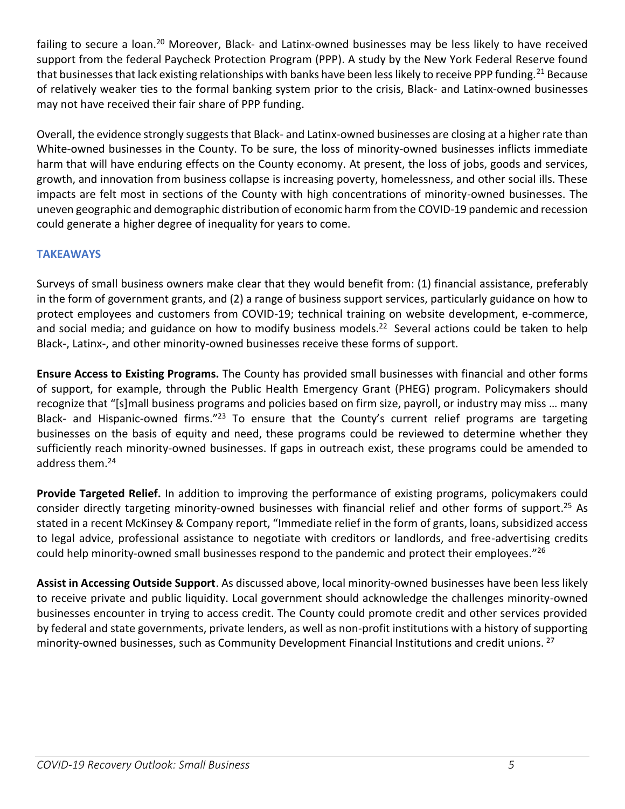failing to secure a loan.<sup>20</sup> Moreover, Black- and Latinx-owned businesses may be less likely to have received support from the federal Paycheck Protection Program (PPP). A study by the New York Federal Reserve found that businesses that lack existing relationships with banks have been less likely to receive PPP funding.<sup>21</sup> Because of relatively weaker ties to the formal banking system prior to the crisis, Black- and Latinx-owned businesses may not have received their fair share of PPP funding.

Overall, the evidence strongly suggests that Black- and Latinx-owned businesses are closing at a higher rate than White-owned businesses in the County. To be sure, the loss of minority-owned businesses inflicts immediate harm that will have enduring effects on the County economy. At present, the loss of jobs, goods and services, growth, and innovation from business collapse is increasing poverty, homelessness, and other social ills. These impacts are felt most in sections of the County with high concentrations of minority-owned businesses. The uneven geographic and demographic distribution of economic harm from the COVID-19 pandemic and recession could generate a higher degree of inequality for years to come.

# **TAKEAWAYS**

Surveys of small business owners make clear that they would benefit from: (1) financial assistance, preferably in the form of government grants, and (2) a range of business support services, particularly guidance on how to protect employees and customers from COVID-19; technical training on website development, e-commerce, and social media; and guidance on how to modify business models.<sup>22</sup> Several actions could be taken to help Black-, Latinx-, and other minority-owned businesses receive these forms of support.

**Ensure Access to Existing Programs.** The County has provided small businesses with financial and other forms of support, for example, through the Public Health Emergency Grant (PHEG) program. Policymakers should recognize that "[s]mall business programs and policies based on firm size, payroll, or industry may miss … many Black- and Hispanic-owned firms."<sup>23</sup> To ensure that the County's current relief programs are targeting businesses on the basis of equity and need, these programs could be reviewed to determine whether they sufficiently reach minority-owned businesses. If gaps in outreach exist, these programs could be amended to address them.<sup>24</sup>

**Provide Targeted Relief.** In addition to improving the performance of existing programs, policymakers could consider directly targeting minority-owned businesses with financial relief and other forms of support. <sup>25</sup> As stated in a recent McKinsey & Company report, "Immediate relief in the form of grants, loans, subsidized access to legal advice, professional assistance to negotiate with creditors or landlords, and free-advertising credits could help minority-owned small businesses respond to the pandemic and protect their employees."<sup>26</sup>

**Assist in Accessing Outside Support**. As discussed above, local minority-owned businesses have been less likely to receive private and public liquidity. Local government should acknowledge the challenges minority-owned businesses encounter in trying to access credit. The County could promote credit and other services provided by federal and state governments, private lenders, as well as non-profit institutions with a history of supporting minority-owned businesses, such as Community Development Financial Institutions and credit unions. <sup>27</sup>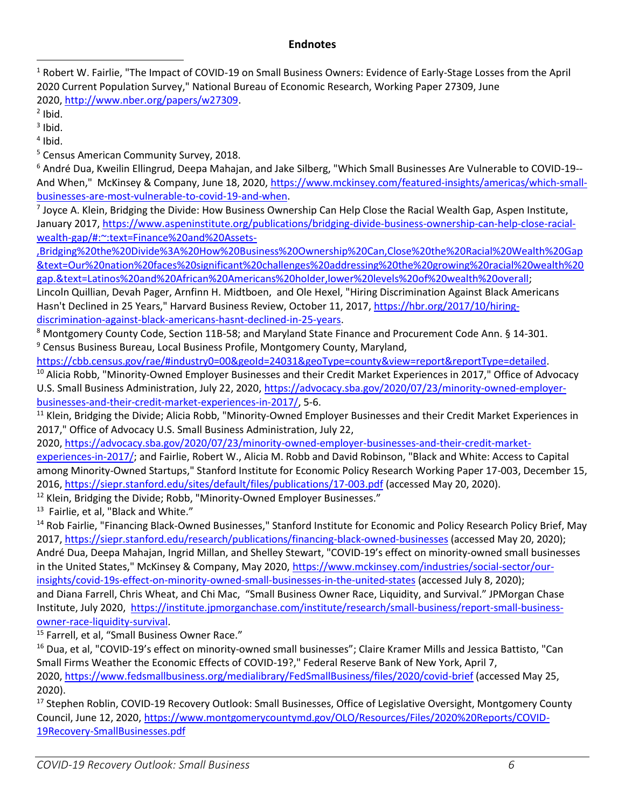## **Endnotes**

<sup>1</sup> Robert W. Fairlie, "The Impact of COVID-19 on Small Business Owners: Evidence of Early-Stage Losses from the April 2020 Current Population Survey," National Bureau of Economic Research, Working Paper 27309, June 2020, [http://www.nber.org/papers/w27309.](http://www.nber.org/papers/w27309)

 $<sup>2</sup>$  Ibid.</sup>

 $3$  Ibid.

4 Ibid.

<sup>5</sup> Census American Community Survey, 2018.

<sup>6</sup> André Dua, Kweilin Ellingrud, Deepa Mahajan, and Jake Silberg, "Which Small Businesses Are Vulnerable to COVID-19-- And When," McKinsey & Company, June 18, 2020, [https://www.mckinsey.com/featured-insights/americas/which-small](https://www.mckinsey.com/featured-insights/americas/which-small-businesses-are-most-vulnerable-to-covid-19-and-when)[businesses-are-most-vulnerable-to-covid-19-and-when.](https://www.mckinsey.com/featured-insights/americas/which-small-businesses-are-most-vulnerable-to-covid-19-and-when)

<sup>7</sup> Joyce A. Klein, Bridging the Divide: How Business Ownership Can Help Close the Racial Wealth Gap, Aspen Institute, January 2017, [https://www.aspeninstitute.org/publications/bridging-divide-business-ownership-can-help-close-racial](https://www.aspeninstitute.org/publications/bridging-divide-business-ownership-can-help-close-racial-wealth-gap/#:~:text=Finance%20and%20Assets-,Bridging%20the%20Divide%3A%20How%20Business%20Ownership%20Can,Close%20the%20Racial%20Wealth%20Gap&text=Our%20nation%20faces%20significant%20challenges%20addressing%20the%20growing%20racial%20wealth%20gap.&text=Latinos%20and)[wealth-gap/#:~:text=Finance%20and%20Assets-](https://www.aspeninstitute.org/publications/bridging-divide-business-ownership-can-help-close-racial-wealth-gap/#:~:text=Finance%20and%20Assets-,Bridging%20the%20Divide%3A%20How%20Business%20Ownership%20Can,Close%20the%20Racial%20Wealth%20Gap&text=Our%20nation%20faces%20significant%20challenges%20addressing%20the%20growing%20racial%20wealth%20gap.&text=Latinos%20and)

[,Bridging%20the%20Divide%3A%20How%20Business%20Ownership%20Can,Close%20the%20Racial%20Wealth%20Gap](https://www.aspeninstitute.org/publications/bridging-divide-business-ownership-can-help-close-racial-wealth-gap/#:~:text=Finance%20and%20Assets-,Bridging%20the%20Divide%3A%20How%20Business%20Ownership%20Can,Close%20the%20Racial%20Wealth%20Gap&text=Our%20nation%20faces%20significant%20challenges%20addressing%20the%20growing%20racial%20wealth%20gap.&text=Latinos%20and) [&text=Our%20nation%20faces%20significant%20challenges%20addressing%20the%20growing%20racial%20wealth%20](https://www.aspeninstitute.org/publications/bridging-divide-business-ownership-can-help-close-racial-wealth-gap/#:~:text=Finance%20and%20Assets-,Bridging%20the%20Divide%3A%20How%20Business%20Ownership%20Can,Close%20the%20Racial%20Wealth%20Gap&text=Our%20nation%20faces%20significant%20challenges%20addressing%20the%20growing%20racial%20wealth%20gap.&text=Latinos%20and) [gap.&text=Latinos%20and%20African%20Americans%20holder,lower%20levels%20of%20wealth%20overall;](https://www.aspeninstitute.org/publications/bridging-divide-business-ownership-can-help-close-racial-wealth-gap/#:~:text=Finance%20and%20Assets-,Bridging%20the%20Divide%3A%20How%20Business%20Ownership%20Can,Close%20the%20Racial%20Wealth%20Gap&text=Our%20nation%20faces%20significant%20challenges%20addressing%20the%20growing%20racial%20wealth%20gap.&text=Latinos%20and)

Lincoln Quillian, Devah Pager, Arnfinn H. Midtboen, and Ole Hexel, "Hiring Discrimination Against Black Americans Hasn't Declined in 25 Years," Harvard Business Review, October 11, 2017, [https://hbr.org/2017/10/hiring](https://hbr.org/2017/10/hiring-discrimination-against-black-americans-hasnt-declined-in-25-years)[discrimination-against-black-americans-hasnt-declined-in-25-years.](https://hbr.org/2017/10/hiring-discrimination-against-black-americans-hasnt-declined-in-25-years)

8 Montgomery County Code, Section 11B-58; and Maryland State Finance and Procurement Code Ann. § 14-301. <sup>9</sup> Census Business Bureau, Local Business Profile, Montgomery County, Maryland,

[https://cbb.census.gov/rae/#industry0=00&geoId=24031&geoType=county&view=report&reportType=detailed.](https://cbb.census.gov/rae/#industry0=00&geoId=24031&geoType=county&view=report&reportType=detailed)

<sup>10</sup> Alicia Robb, "Minority-Owned Employer Businesses and their Credit Market Experiences in 2017," Office of Advocacy U.S. Small Business Administration, July 22, 2020, [https://advocacy.sba.gov/2020/07/23/minority-owned-employer](https://advocacy.sba.gov/2020/07/23/minority-owned-employer-businesses-and-their-credit-market-experiences-in-2017/)[businesses-and-their-credit-market-experiences-in-2017/,](https://advocacy.sba.gov/2020/07/23/minority-owned-employer-businesses-and-their-credit-market-experiences-in-2017/) 5-6.

<sup>11</sup> Klein, Bridging the Divide; Alicia Robb, "Minority-Owned Employer Businesses and their Credit Market Experiences in 2017," Office of Advocacy U.S. Small Business Administration, July 22,

2020, [https://advocacy.sba.gov/2020/07/23/minority-owned-employer-businesses-and-their-credit-market-](https://advocacy.sba.gov/2020/07/23/minority-owned-employer-businesses-and-their-credit-market-experiences-in-2017/)

[experiences-in-2017/;](https://advocacy.sba.gov/2020/07/23/minority-owned-employer-businesses-and-their-credit-market-experiences-in-2017/) and Fairlie, Robert W., Alicia M. Robb and David Robinson, "Black and White: Access to Capital among Minority-Owned Startups," Stanford Institute for Economic Policy Research Working Paper 17-003, December 15, 2016, <https://siepr.stanford.edu/sites/default/files/publications/17-003.pdf> (accessed May 20, 2020).

<sup>12</sup> Klein, Bridging the Divide; Robb, "Minority-Owned Employer Businesses."

<sup>13</sup> Fairlie, et al, "Black and White."

<sup>14</sup> Rob Fairlie, "Financing Black-Owned Businesses," Stanford Institute for Economic and Policy Research Policy Brief, May 2017[, https://siepr.stanford.edu/research/publications/financing-black-owned-businesses](https://siepr.stanford.edu/research/publications/financing-black-owned-businesses) (accessed May 20, 2020); André Dua, Deepa Mahajan, Ingrid Millan, and Shelley Stewart, "COVID-19's effect on minority-owned small businesses in the United States," McKinsey & Company, May 2020, [https://www.mckinsey.com/industries/social-sector/our](https://www.mckinsey.com/industries/social-sector/our-insights/covid-19s-effect-on-minority-owned-small-businesses-in-the-united-states)[insights/covid-19s-effect-on-minority-owned-small-businesses-in-the-united-states](https://www.mckinsey.com/industries/social-sector/our-insights/covid-19s-effect-on-minority-owned-small-businesses-in-the-united-states) (accessed July 8, 2020); and Diana Farrell, Chris Wheat, and Chi Mac, "Small Business Owner Race, Liquidity, and Survival." JPMorgan Chase Institute, July 2020, [https://institute.jpmorganchase.com/institute/research/small-business/report-small-business](https://institute.jpmorganchase.com/institute/research/small-business/report-small-business-owner-race-liquidity-survival)[owner-race-liquidity-survival.](https://institute.jpmorganchase.com/institute/research/small-business/report-small-business-owner-race-liquidity-survival)

<sup>15</sup> Farrell, et al, "Small Business Owner Race."

<sup>16</sup> Dua, et al, "COVID-19's effect on minority-owned small businesses"; Claire Kramer Mills and Jessica Battisto, "Can Small Firms Weather the Economic Effects of COVID-19?," Federal Reserve Bank of New York, April 7, 2020, <https://www.fedsmallbusiness.org/medialibrary/FedSmallBusiness/files/2020/covid-brief> (accessed May 25, 2020).

<sup>17</sup> Stephen Roblin, COVID-19 Recovery Outlook: Small Businesses, Office of Legislative Oversight, Montgomery County Council, June 12, 2020, [https://www.montgomerycountymd.gov/OLO/Resources/Files/2020%20Reports/COVID-](https://www.montgomerycountymd.gov/OLO/Resources/Files/2020%20Reports/COVID-19Recovery-SmallBusinesses.pdf)[19Recovery-SmallBusinesses.pdf](https://www.montgomerycountymd.gov/OLO/Resources/Files/2020%20Reports/COVID-19Recovery-SmallBusinesses.pdf)